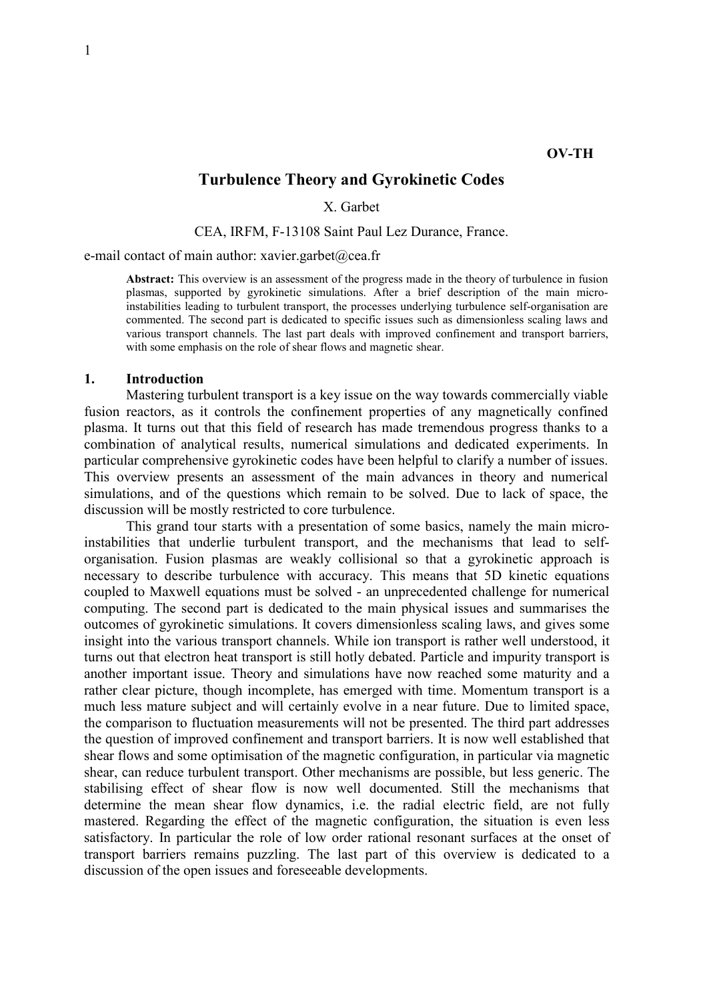# Turbulence Theory and Gyrokinetic Codes

X. Garbet

#### CEA, IRFM, F-13108 Saint Paul Lez Durance, France.

e-mail contact of main author: xavier.garbet@cea.fr

Abstract: This overview is an assessment of the progress made in the theory of turbulence in fusion plasmas, supported by gyrokinetic simulations. After a brief description of the main microinstabilities leading to turbulent transport, the processes underlying turbulence self-organisation are commented. The second part is dedicated to specific issues such as dimensionless scaling laws and various transport channels. The last part deals with improved confinement and transport barriers, with some emphasis on the role of shear flows and magnetic shear.

#### 1. Introduction

 Mastering turbulent transport is a key issue on the way towards commercially viable fusion reactors, as it controls the confinement properties of any magnetically confined plasma. It turns out that this field of research has made tremendous progress thanks to a combination of analytical results, numerical simulations and dedicated experiments. In particular comprehensive gyrokinetic codes have been helpful to clarify a number of issues. This overview presents an assessment of the main advances in theory and numerical simulations, and of the questions which remain to be solved. Due to lack of space, the discussion will be mostly restricted to core turbulence.

 This grand tour starts with a presentation of some basics, namely the main microinstabilities that underlie turbulent transport, and the mechanisms that lead to selforganisation. Fusion plasmas are weakly collisional so that a gyrokinetic approach is necessary to describe turbulence with accuracy. This means that 5D kinetic equations coupled to Maxwell equations must be solved - an unprecedented challenge for numerical computing. The second part is dedicated to the main physical issues and summarises the outcomes of gyrokinetic simulations. It covers dimensionless scaling laws, and gives some insight into the various transport channels. While ion transport is rather well understood, it turns out that electron heat transport is still hotly debated. Particle and impurity transport is another important issue. Theory and simulations have now reached some maturity and a rather clear picture, though incomplete, has emerged with time. Momentum transport is a much less mature subject and will certainly evolve in a near future. Due to limited space, the comparison to fluctuation measurements will not be presented. The third part addresses the question of improved confinement and transport barriers. It is now well established that shear flows and some optimisation of the magnetic configuration, in particular via magnetic shear, can reduce turbulent transport. Other mechanisms are possible, but less generic. The stabilising effect of shear flow is now well documented. Still the mechanisms that determine the mean shear flow dynamics, i.e. the radial electric field, are not fully mastered. Regarding the effect of the magnetic configuration, the situation is even less satisfactory. In particular the role of low order rational resonant surfaces at the onset of transport barriers remains puzzling. The last part of this overview is dedicated to a discussion of the open issues and foreseeable developments.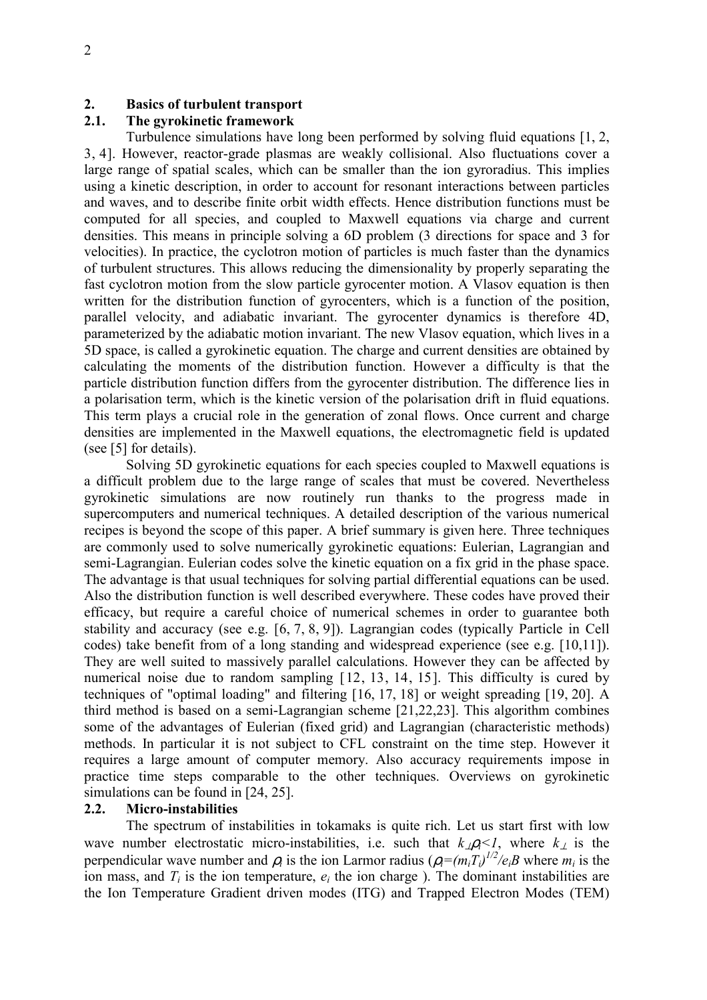## 2. Basics of turbulent transport

## 2.1. The gyrokinetic framework

 Turbulence simulations have long been performed by solving fluid equations [1, 2, 3, 4]. However, reactor-grade plasmas are weakly collisional. Also fluctuations cover a large range of spatial scales, which can be smaller than the ion gyroradius. This implies using a kinetic description, in order to account for resonant interactions between particles and waves, and to describe finite orbit width effects. Hence distribution functions must be computed for all species, and coupled to Maxwell equations via charge and current densities. This means in principle solving a 6D problem (3 directions for space and 3 for velocities). In practice, the cyclotron motion of particles is much faster than the dynamics of turbulent structures. This allows reducing the dimensionality by properly separating the fast cyclotron motion from the slow particle gyrocenter motion. A Vlasov equation is then written for the distribution function of gyrocenters, which is a function of the position, parallel velocity, and adiabatic invariant. The gyrocenter dynamics is therefore 4D, parameterized by the adiabatic motion invariant. The new Vlasov equation, which lives in a 5D space, is called a gyrokinetic equation. The charge and current densities are obtained by calculating the moments of the distribution function. However a difficulty is that the particle distribution function differs from the gyrocenter distribution. The difference lies in a polarisation term, which is the kinetic version of the polarisation drift in fluid equations. This term plays a crucial role in the generation of zonal flows. Once current and charge densities are implemented in the Maxwell equations, the electromagnetic field is updated (see [5] for details).

 Solving 5D gyrokinetic equations for each species coupled to Maxwell equations is a difficult problem due to the large range of scales that must be covered. Nevertheless gyrokinetic simulations are now routinely run thanks to the progress made in supercomputers and numerical techniques. A detailed description of the various numerical recipes is beyond the scope of this paper. A brief summary is given here. Three techniques are commonly used to solve numerically gyrokinetic equations: Eulerian, Lagrangian and semi-Lagrangian. Eulerian codes solve the kinetic equation on a fix grid in the phase space. The advantage is that usual techniques for solving partial differential equations can be used. Also the distribution function is well described everywhere. These codes have proved their efficacy, but require a careful choice of numerical schemes in order to guarantee both stability and accuracy (see e.g. [6, 7, 8, 9]). Lagrangian codes (typically Particle in Cell codes) take benefit from of a long standing and widespread experience (see e.g. [10,11]). They are well suited to massively parallel calculations. However they can be affected by numerical noise due to random sampling [12, 13, 14, 15]. This difficulty is cured by techniques of "optimal loading" and filtering [16, 17, 18] or weight spreading [19, 20]. A third method is based on a semi-Lagrangian scheme [21,22,23]. This algorithm combines some of the advantages of Eulerian (fixed grid) and Lagrangian (characteristic methods) methods. In particular it is not subject to CFL constraint on the time step. However it requires a large amount of computer memory. Also accuracy requirements impose in practice time steps comparable to the other techniques. Overviews on gyrokinetic simulations can be found in [24, 25].

## 2.2. Micro-instabilities

 The spectrum of instabilities in tokamaks is quite rich. Let us start first with low wave number electrostatic micro-instabilities, i.e. such that  $k_{\perp}$  $\rho_i$  where  $k_{\perp}$  is the perpendicular wave number and  $\rho_i$  is the ion Larmor radius  $(\rho_i = (m_i T_i)^{1/2}/e_i B$  where  $m_i$  is the ion mass, and  $T_i$  is the ion temperature,  $e_i$  the ion charge). The dominant instabilities are the Ion Temperature Gradient driven modes (ITG) and Trapped Electron Modes (TEM)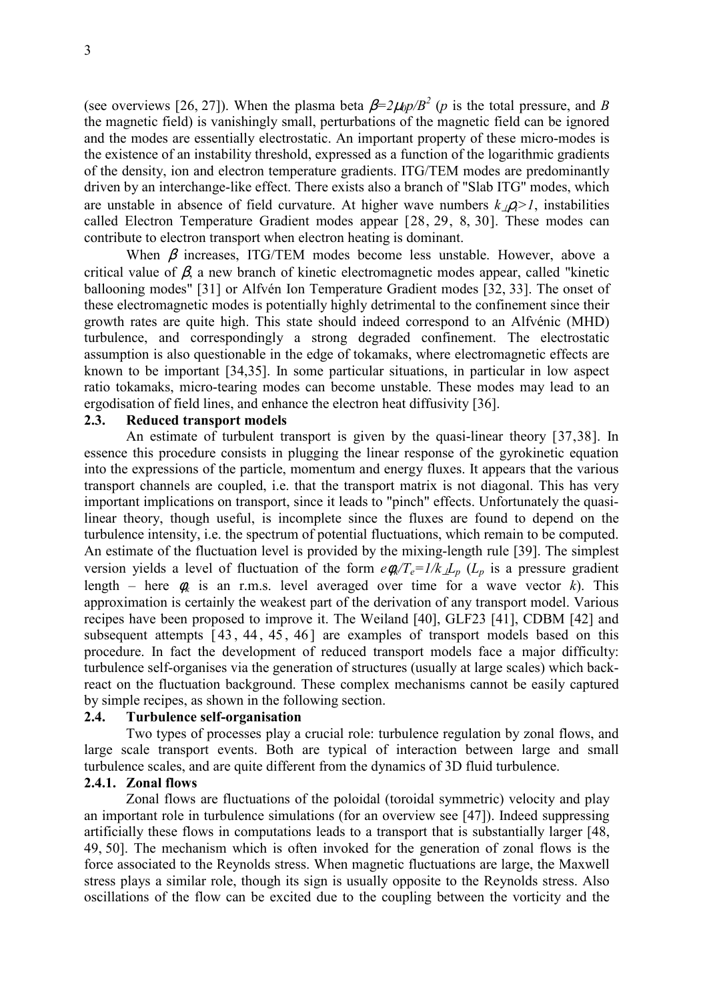(see overviews [26, 27]). When the plasma beta  $\beta = 2\mu_0 p/B^2$  (*p* is the total pressure, and *B* the magnetic field) is vanishingly small, perturbations of the magnetic field can be ignored and the modes are essentially electrostatic. An important property of these micro-modes is the existence of an instability threshold, expressed as a function of the logarithmic gradients of the density, ion and electron temperature gradients. ITG/TEM modes are predominantly driven by an interchange-like effect. There exists also a branch of "Slab ITG" modes, which are unstable in absence of field curvature. At higher wave numbers  $k_1 \rho \geq 1$ , instabilities called Electron Temperature Gradient modes appear [28, 29, 8, 30]. These modes can contribute to electron transport when electron heating is dominant.

When  $\beta$  increases, ITG/TEM modes become less unstable. However, above a critical value of  $\beta$ , a new branch of kinetic electromagnetic modes appear, called "kinetic ballooning modes" [31] or Alfvén Ion Temperature Gradient modes [32, 33]. The onset of these electromagnetic modes is potentially highly detrimental to the confinement since their growth rates are quite high. This state should indeed correspond to an Alfvénic (MHD) turbulence, and correspondingly a strong degraded confinement. The electrostatic assumption is also questionable in the edge of tokamaks, where electromagnetic effects are known to be important [34,35]. In some particular situations, in particular in low aspect ratio tokamaks, micro-tearing modes can become unstable. These modes may lead to an ergodisation of field lines, and enhance the electron heat diffusivity [36].

### 2.3. Reduced transport models

 An estimate of turbulent transport is given by the quasi-linear theory [37,38]. In essence this procedure consists in plugging the linear response of the gyrokinetic equation into the expressions of the particle, momentum and energy fluxes. It appears that the various transport channels are coupled, i.e. that the transport matrix is not diagonal. This has very important implications on transport, since it leads to "pinch" effects. Unfortunately the quasilinear theory, though useful, is incomplete since the fluxes are found to depend on the turbulence intensity, i.e. the spectrum of potential fluctuations, which remain to be computed. An estimate of the fluctuation level is provided by the mixing-length rule [39]. The simplest version yields a level of fluctuation of the form  $e\phi_k/T_e=1/k_{\perp}L_p$  ( $L_p$  is a pressure gradient length – here  $\phi_k$  is an r.m.s. level averaged over time for a wave vector k). This approximation is certainly the weakest part of the derivation of any transport model. Various recipes have been proposed to improve it. The Weiland [40], GLF23 [41], CDBM [42] and subsequent attempts [43, 44, 45, 46] are examples of transport models based on this procedure. In fact the development of reduced transport models face a major difficulty: turbulence self-organises via the generation of structures (usually at large scales) which backreact on the fluctuation background. These complex mechanisms cannot be easily captured by simple recipes, as shown in the following section.

#### 2.4. Turbulence self-organisation

 Two types of processes play a crucial role: turbulence regulation by zonal flows, and large scale transport events. Both are typical of interaction between large and small turbulence scales, and are quite different from the dynamics of 3D fluid turbulence.

#### 2.4.1. Zonal flows

 Zonal flows are fluctuations of the poloidal (toroidal symmetric) velocity and play an important role in turbulence simulations (for an overview see [47]). Indeed suppressing artificially these flows in computations leads to a transport that is substantially larger [48, 49, 50]. The mechanism which is often invoked for the generation of zonal flows is the force associated to the Reynolds stress. When magnetic fluctuations are large, the Maxwell stress plays a similar role, though its sign is usually opposite to the Reynolds stress. Also oscillations of the flow can be excited due to the coupling between the vorticity and the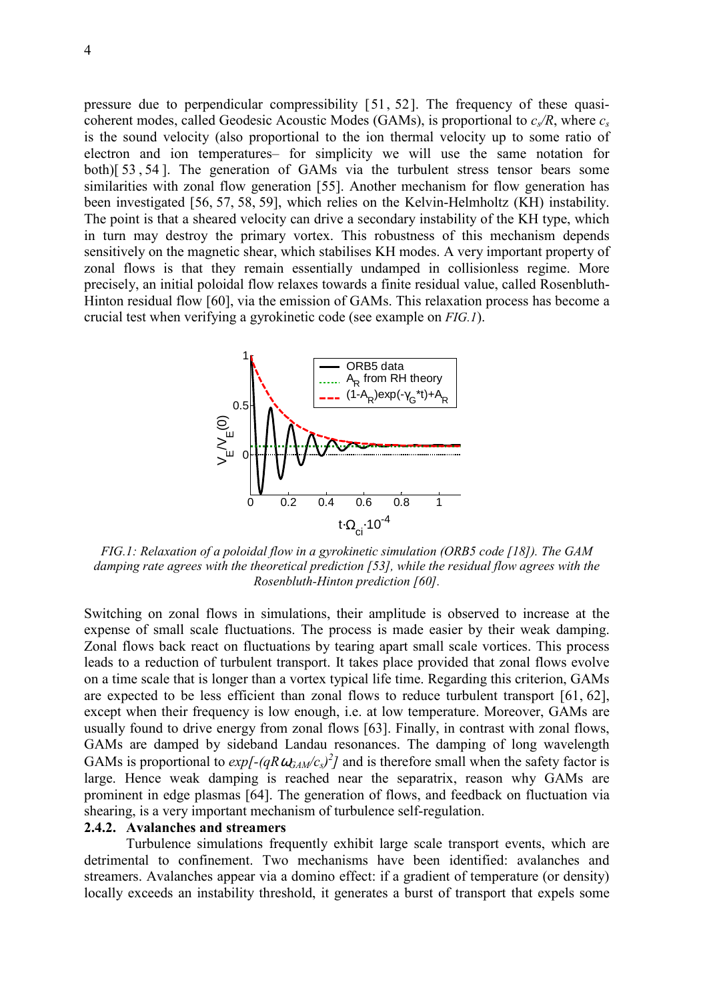pressure due to perpendicular compressibility [51, 52]. The frequency of these quasicoherent modes, called Geodesic Acoustic Modes (GAMs), is proportional to  $c_s/R$ , where  $c_s$ is the sound velocity (also proportional to the ion thermal velocity up to some ratio of electron and ion temperatures– for simplicity we will use the same notation for both)[ 53 , 54 ]. The generation of GAMs via the turbulent stress tensor bears some similarities with zonal flow generation [55]. Another mechanism for flow generation has been investigated [56, 57, 58, 59], which relies on the Kelvin-Helmholtz (KH) instability. The point is that a sheared velocity can drive a secondary instability of the KH type, which in turn may destroy the primary vortex. This robustness of this mechanism depends sensitively on the magnetic shear, which stabilises KH modes. A very important property of zonal flows is that they remain essentially undamped in collisionless regime. More precisely, an initial poloidal flow relaxes towards a finite residual value, called Rosenbluth-Hinton residual flow [60], via the emission of GAMs. This relaxation process has become a crucial test when verifying a gyrokinetic code (see example on FIG.1).



FIG.1: Relaxation of a poloidal flow in a gyrokinetic simulation (ORB5 code [18]). The GAM damping rate agrees with the theoretical prediction [53], while the residual flow agrees with the Rosenbluth-Hinton prediction [60].

Switching on zonal flows in simulations, their amplitude is observed to increase at the expense of small scale fluctuations. The process is made easier by their weak damping. Zonal flows back react on fluctuations by tearing apart small scale vortices. This process leads to a reduction of turbulent transport. It takes place provided that zonal flows evolve on a time scale that is longer than a vortex typical life time. Regarding this criterion, GAMs are expected to be less efficient than zonal flows to reduce turbulent transport [61, 62], except when their frequency is low enough, i.e. at low temperature. Moreover, GAMs are usually found to drive energy from zonal flows [63]. Finally, in contrast with zonal flows, GAMs are damped by sideband Landau resonances. The damping of long wavelength GAMs is proportional to  $exp[-(qR\omega_{GAM}/c_s)^2]$  and is therefore small when the safety factor is large. Hence weak damping is reached near the separatrix, reason why GAMs are prominent in edge plasmas [64]. The generation of flows, and feedback on fluctuation via shearing, is a very important mechanism of turbulence self-regulation.

## 2.4.2. Avalanches and streamers

 Turbulence simulations frequently exhibit large scale transport events, which are detrimental to confinement. Two mechanisms have been identified: avalanches and streamers. Avalanches appear via a domino effect: if a gradient of temperature (or density) locally exceeds an instability threshold, it generates a burst of transport that expels some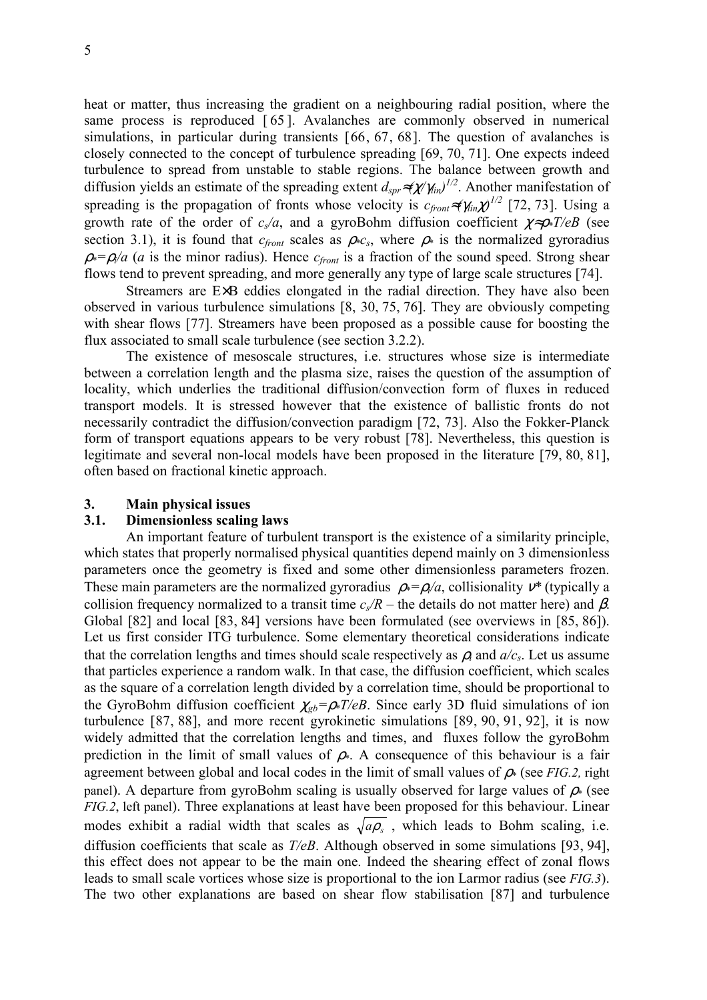heat or matter, thus increasing the gradient on a neighbouring radial position, where the same process is reproduced [65]. Avalanches are commonly observed in numerical simulations, in particular during transients [66, 67, 68]. The question of avalanches is closely connected to the concept of turbulence spreading [69, 70, 71]. One expects indeed turbulence to spread from unstable to stable regions. The balance between growth and diffusion yields an estimate of the spreading extent  $d_{spr} \approx (\chi/\gamma_{lin})^{1/2}$ . Another manifestation of spreading is the propagation of fronts whose velocity is  $c_{front} \approx (\gamma_{in} \chi)^{1/2}$  [72, 73]. Using a growth rate of the order of  $c<sub>s</sub>/a$ , and a gyroBohm diffusion coefficient  $\chi \approx \rho \ast T/eB$  (see section 3.1), it is found that  $c_{front}$  scales as  $\rho * c_s$ , where  $\rho *$  is the normalized gyroradius  $\rho^*=\rho/a$  (a is the minor radius). Hence  $c_{front}$  is a fraction of the sound speed. Strong shear flows tend to prevent spreading, and more generally any type of large scale structures [74].

 Streamers are E×B eddies elongated in the radial direction. They have also been observed in various turbulence simulations [8, 30, 75, 76]. They are obviously competing with shear flows [77]. Streamers have been proposed as a possible cause for boosting the flux associated to small scale turbulence (see section 3.2.2).

 The existence of mesoscale structures, i.e. structures whose size is intermediate between a correlation length and the plasma size, raises the question of the assumption of locality, which underlies the traditional diffusion/convection form of fluxes in reduced transport models. It is stressed however that the existence of ballistic fronts do not necessarily contradict the diffusion/convection paradigm [72, 73]. Also the Fokker-Planck form of transport equations appears to be very robust [78]. Nevertheless, this question is legitimate and several non-local models have been proposed in the literature [79, 80, 81], often based on fractional kinetic approach.

#### 3. Main physical issues

## 3.1. Dimensionless scaling laws

 An important feature of turbulent transport is the existence of a similarity principle, which states that properly normalised physical quantities depend mainly on 3 dimensionless parameters once the geometry is fixed and some other dimensionless parameters frozen. These main parameters are the normalized gyroradius  $\rho^* = \rho/a$ , collisionality  $v^*$  (typically a collision frequency normalized to a transit time  $c\sqrt{R}$  – the details do not matter here) and  $\beta$ . Global [82] and local [83, 84] versions have been formulated (see overviews in [85, 86]). Let us first consider ITG turbulence. Some elementary theoretical considerations indicate that the correlation lengths and times should scale respectively as  $\rho_i$  and  $a/c_s$ . Let us assume that particles experience a random walk. In that case, the diffusion coefficient, which scales as the square of a correlation length divided by a correlation time, should be proportional to the GyroBohm diffusion coefficient  $\chi_{gb} = \rho * T/eB$ . Since early 3D fluid simulations of ion turbulence [87, 88], and more recent gyrokinetic simulations [89, 90, 91, 92], it is now widely admitted that the correlation lengths and times, and fluxes follow the gyroBohm prediction in the limit of small values of  $\rho$ . A consequence of this behaviour is a fair agreement between global and local codes in the limit of small values of  $\rho$  (see FIG.2, right panel). A departure from gyroBohm scaling is usually observed for large values of  $\rho$  (see FIG.2, left panel). Three explanations at least have been proposed for this behaviour. Linear modes exhibit a radial width that scales as  $\sqrt{a\rho_s}$ , which leads to Bohm scaling, i.e. diffusion coefficients that scale as  $T/eB$ . Although observed in some simulations [93, 94], this effect does not appear to be the main one. Indeed the shearing effect of zonal flows leads to small scale vortices whose size is proportional to the ion Larmor radius (see FIG.3). The two other explanations are based on shear flow stabilisation [87] and turbulence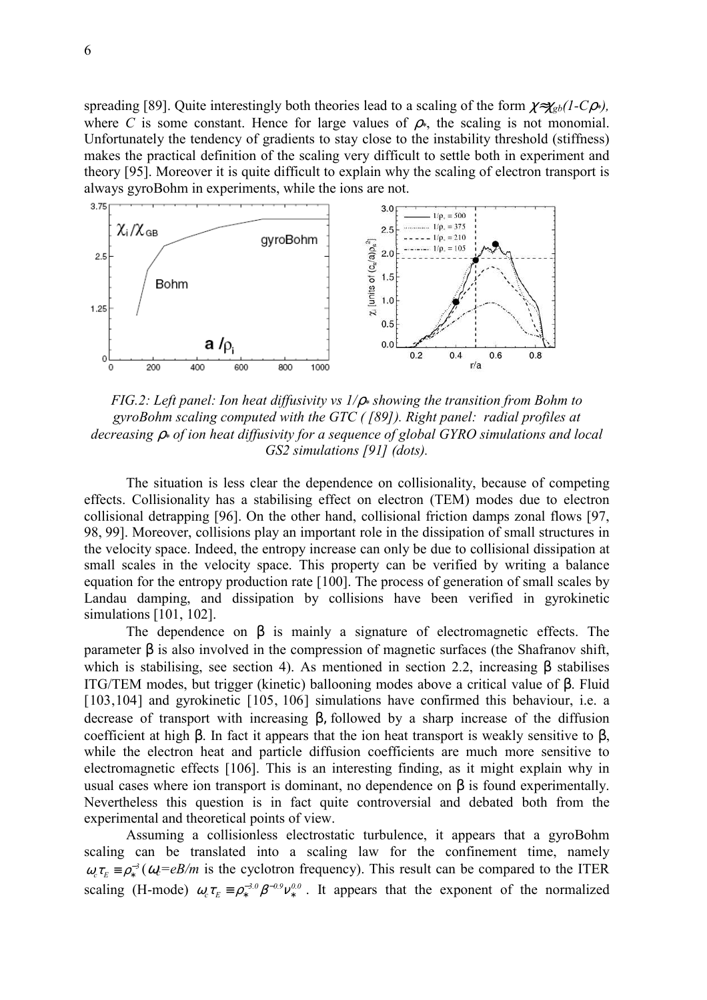spreading [89]. Quite interestingly both theories lead to a scaling of the form  $\chi \approx \chi_{gb} (1 - C \rho^*)$ , where C is some constant. Hence for large values of  $\rho$ <sup>\*</sup>, the scaling is not monomial. Unfortunately the tendency of gradients to stay close to the instability threshold (stiffness) makes the practical definition of the scaling very difficult to settle both in experiment and theory [95]. Moreover it is quite difficult to explain why the scaling of electron transport is always gyroBohm in experiments, while the ions are not.



FIG.2: Left panel: Ion heat diffusivity vs  $1/\rho$  showing the transition from Bohm to gyroBohm scaling computed with the GTC ( [89]). Right panel: radial profiles at decreasing  $\rho_*$  of ion heat diffusivity for a sequence of global GYRO simulations and local GS2 simulations [91] (dots).

 The situation is less clear the dependence on collisionality, because of competing effects. Collisionality has a stabilising effect on electron (TEM) modes due to electron collisional detrapping [96]. On the other hand, collisional friction damps zonal flows [97, 98, 99]. Moreover, collisions play an important role in the dissipation of small structures in the velocity space. Indeed, the entropy increase can only be due to collisional dissipation at small scales in the velocity space. This property can be verified by writing a balance equation for the entropy production rate [100]. The process of generation of small scales by Landau damping, and dissipation by collisions have been verified in gyrokinetic simulations [101, 102].

The dependence on  $\beta$  is mainly a signature of electromagnetic effects. The parameter  $\beta$  is also involved in the compression of magnetic surfaces (the Shafranov shift, which is stabilising, see section 4). As mentioned in section 2.2, increasing β stabilises ITG/TEM modes, but trigger (kinetic) ballooning modes above a critical value of β. Fluid [103,104] and gyrokinetic [105, 106] simulations have confirmed this behaviour, i.e. a decrease of transport with increasing β, followed by a sharp increase of the diffusion coefficient at high β. In fact it appears that the ion heat transport is weakly sensitive to β, while the electron heat and particle diffusion coefficients are much more sensitive to electromagnetic effects [106]. This is an interesting finding, as it might explain why in usual cases where ion transport is dominant, no dependence on β is found experimentally. Nevertheless this question is in fact quite controversial and debated both from the experimental and theoretical points of view.

 Assuming a collisionless electrostatic turbulence, it appears that a gyroBohm scaling can be translated into a scaling law for the confinement time, namely  $\omega_c \tau_E = \rho_*^{-3} (\omega_c = eB/m)$  is the cyclotron frequency). This result can be compared to the ITER scaling (H-mode)  $\omega_c \tau_E \equiv \rho_*^{-3.0} \beta^{-0.9} v_*^{0.0}$ . It appears that the exponent of the normalized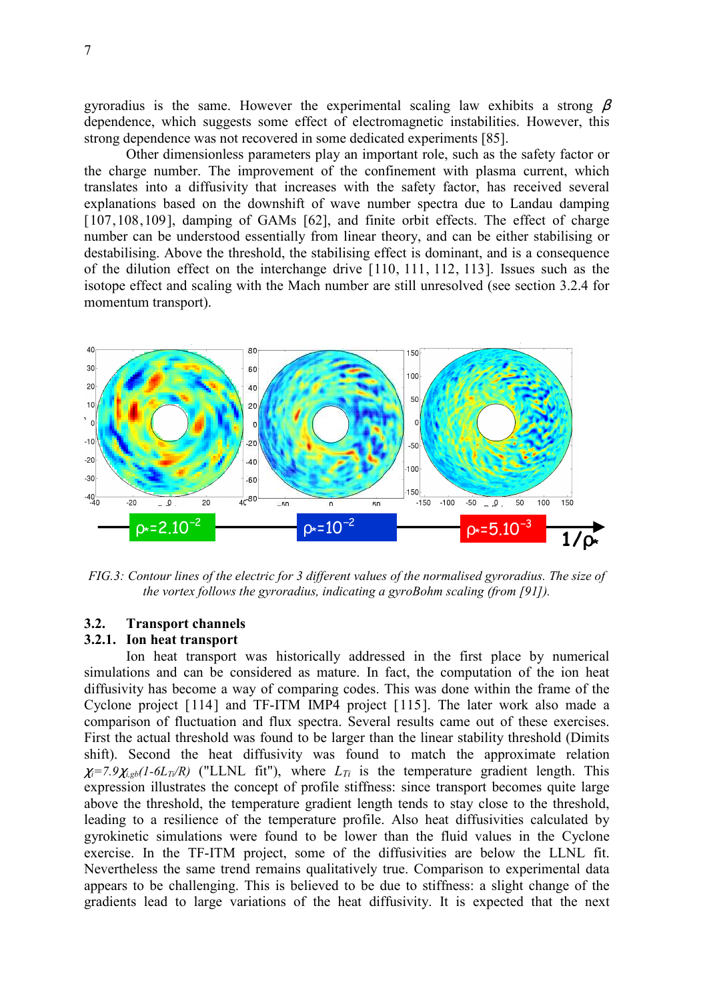gyroradius is the same. However the experimental scaling law exhibits a strong  $\beta$ dependence, which suggests some effect of electromagnetic instabilities. However, this strong dependence was not recovered in some dedicated experiments [85].

 Other dimensionless parameters play an important role, such as the safety factor or the charge number. The improvement of the confinement with plasma current, which translates into a diffusivity that increases with the safety factor, has received several explanations based on the downshift of wave number spectra due to Landau damping [107,108,109], damping of GAMs [62], and finite orbit effects. The effect of charge number can be understood essentially from linear theory, and can be either stabilising or destabilising. Above the threshold, the stabilising effect is dominant, and is a consequence of the dilution effect on the interchange drive [110, 111, 112, 113]. Issues such as the isotope effect and scaling with the Mach number are still unresolved (see section 3.2.4 for momentum transport).



FIG.3: Contour lines of the electric for 3 different values of the normalised gyroradius. The size of the vortex follows the gyroradius, indicating a gyroBohm scaling (from [91]).

### 3.2. Transport channels

## 3.2.1. Ion heat transport

 Ion heat transport was historically addressed in the first place by numerical simulations and can be considered as mature. In fact, the computation of the ion heat diffusivity has become a way of comparing codes. This was done within the frame of the Cyclone project [114] and TF-ITM IMP4 project [115]. The later work also made a comparison of fluctuation and flux spectra. Several results came out of these exercises. First the actual threshold was found to be larger than the linear stability threshold (Dimits shift). Second the heat diffusivity was found to match the approximate relation  $\chi_i$ =7.9 $\chi_{i,gb}$ (1-6L<sub>Ti</sub>/R) ("LLNL fit"), where  $L_{Ti}$  is the temperature gradient length. This expression illustrates the concept of profile stiffness: since transport becomes quite large above the threshold, the temperature gradient length tends to stay close to the threshold, leading to a resilience of the temperature profile. Also heat diffusivities calculated by gyrokinetic simulations were found to be lower than the fluid values in the Cyclone exercise. In the TF-ITM project, some of the diffusivities are below the LLNL fit. Nevertheless the same trend remains qualitatively true. Comparison to experimental data appears to be challenging. This is believed to be due to stiffness: a slight change of the gradients lead to large variations of the heat diffusivity. It is expected that the next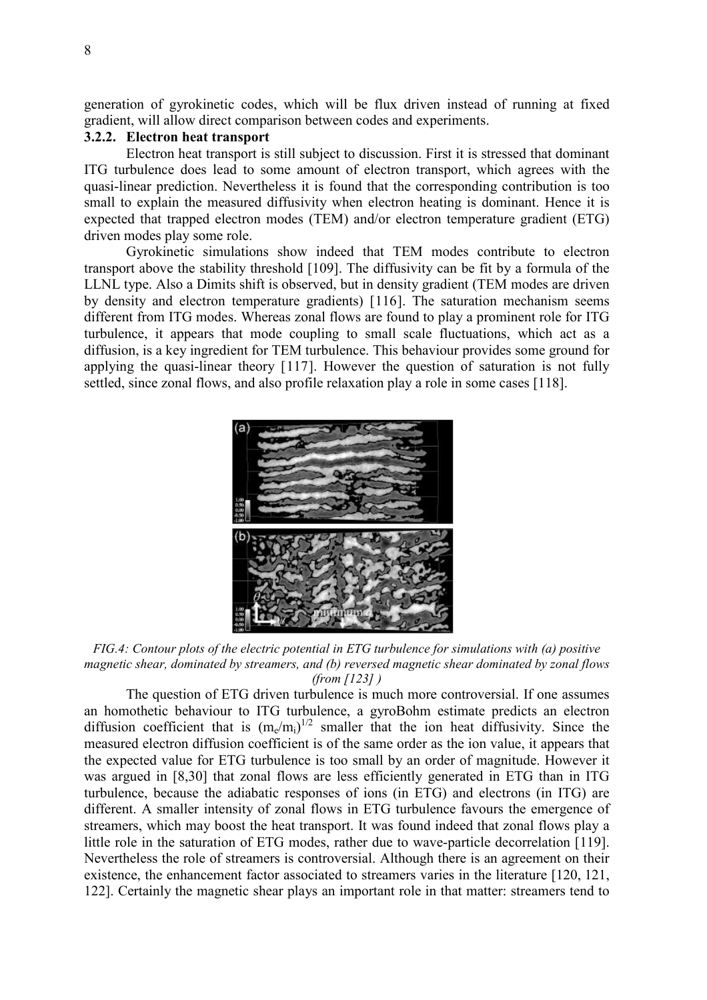generation of gyrokinetic codes, which will be flux driven instead of running at fixed gradient, will allow direct comparison between codes and experiments.

## 3.2.2. Electron heat transport

 Electron heat transport is still subject to discussion. First it is stressed that dominant ITG turbulence does lead to some amount of electron transport, which agrees with the quasi-linear prediction. Nevertheless it is found that the corresponding contribution is too small to explain the measured diffusivity when electron heating is dominant. Hence it is expected that trapped electron modes (TEM) and/or electron temperature gradient (ETG) driven modes play some role.

 Gyrokinetic simulations show indeed that TEM modes contribute to electron transport above the stability threshold [109]. The diffusivity can be fit by a formula of the LLNL type. Also a Dimits shift is observed, but in density gradient (TEM modes are driven by density and electron temperature gradients) [116]. The saturation mechanism seems different from ITG modes. Whereas zonal flows are found to play a prominent role for ITG turbulence, it appears that mode coupling to small scale fluctuations, which act as a diffusion, is a key ingredient for TEM turbulence. This behaviour provides some ground for applying the quasi-linear theory [117]. However the question of saturation is not fully settled, since zonal flows, and also profile relaxation play a role in some cases [118].



FIG.4: Contour plots of the electric potential in ETG turbulence for simulations with (a) positive magnetic shear, dominated by streamers, and (b) reversed magnetic shear dominated by zonal flows (from  $[123]$ )

 The question of ETG driven turbulence is much more controversial. If one assumes an homothetic behaviour to ITG turbulence, a gyroBohm estimate predicts an electron diffusion coefficient that is  $(m_e/m_i)^{1/2}$  smaller that the ion heat diffusivity. Since the measured electron diffusion coefficient is of the same order as the ion value, it appears that the expected value for ETG turbulence is too small by an order of magnitude. However it was argued in [8,30] that zonal flows are less efficiently generated in ETG than in ITG turbulence, because the adiabatic responses of ions (in ETG) and electrons (in ITG) are different. A smaller intensity of zonal flows in ETG turbulence favours the emergence of streamers, which may boost the heat transport. It was found indeed that zonal flows play a little role in the saturation of ETG modes, rather due to wave-particle decorrelation [119]. Nevertheless the role of streamers is controversial. Although there is an agreement on their existence, the enhancement factor associated to streamers varies in the literature [120, 121, 122]. Certainly the magnetic shear plays an important role in that matter: streamers tend to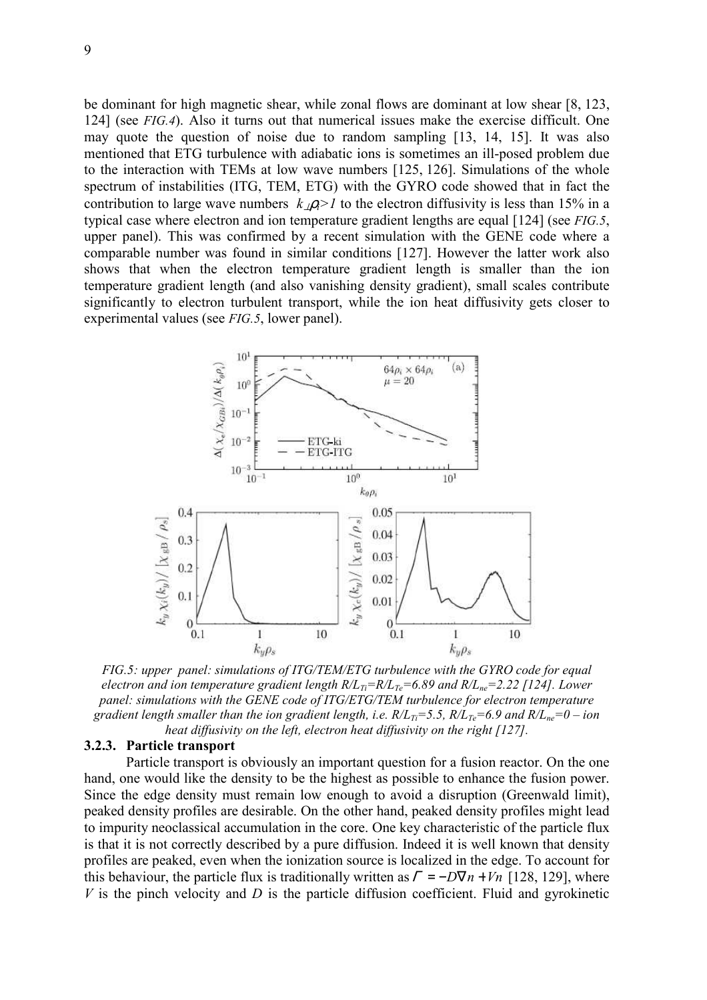be dominant for high magnetic shear, while zonal flows are dominant at low shear [8, 123, 124] (see FIG.4). Also it turns out that numerical issues make the exercise difficult. One may quote the question of noise due to random sampling [13, 14, 15]. It was also mentioned that ETG turbulence with adiabatic ions is sometimes an ill-posed problem due to the interaction with TEMs at low wave numbers [125, 126]. Simulations of the whole spectrum of instabilities (ITG, TEM, ETG) with the GYRO code showed that in fact the contribution to large wave numbers  $k_1 \rho_1 > 1$  to the electron diffusivity is less than 15% in a typical case where electron and ion temperature gradient lengths are equal [124] (see *FIG.5*, upper panel). This was confirmed by a recent simulation with the GENE code where a comparable number was found in similar conditions [127]. However the latter work also shows that when the electron temperature gradient length is smaller than the ion temperature gradient length (and also vanishing density gradient), small scales contribute significantly to electron turbulent transport, while the ion heat diffusivity gets closer to experimental values (see FIG.5, lower panel).



FIG.5: upper panel: simulations of ITG/TEM/ETG turbulence with the GYRO code for equal electron and ion temperature gradient length  $R/L_{Te} = R/L_{Te} = 6.89$  and  $R/L_{ne} = 2.22$  [124]. Lower panel: simulations with the GENE code of ITG/ETG/TEM turbulence for electron temperature gradient length smaller than the ion gradient length, i.e.  $R/L_{Ti}=5.5$ ,  $R/L_{Te}=6.9$  and  $R/L_{ne}=0$  – ion heat diffusivity on the left, electron heat diffusivity on the right [127].

#### 3.2.3. Particle transport

 Particle transport is obviously an important question for a fusion reactor. On the one hand, one would like the density to be the highest as possible to enhance the fusion power. Since the edge density must remain low enough to avoid a disruption (Greenwald limit), peaked density profiles are desirable. On the other hand, peaked density profiles might lead to impurity neoclassical accumulation in the core. One key characteristic of the particle flux is that it is not correctly described by a pure diffusion. Indeed it is well known that density profiles are peaked, even when the ionization source is localized in the edge. To account for this behaviour, the particle flux is traditionally written as  $\Gamma = -D\nabla n + Vn$  [128, 129], where V is the pinch velocity and  $D$  is the particle diffusion coefficient. Fluid and gyrokinetic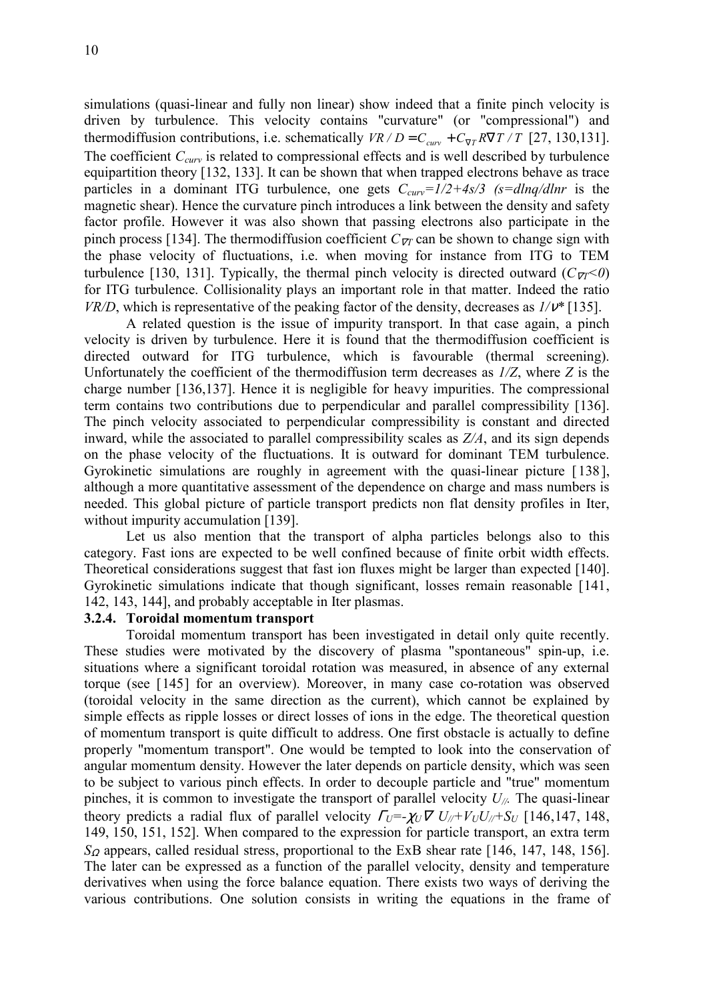simulations (quasi-linear and fully non linear) show indeed that a finite pinch velocity is driven by turbulence. This velocity contains "curvature" (or "compressional") and thermodiffusion contributions, i.e. schematically  $VR/D = C_{cuv} + C_{\nabla T} R\nabla T/T$  [27, 130,131]. The coefficient  $C_{curv}$  is related to compressional effects and is well described by turbulence equipartition theory [132, 133]. It can be shown that when trapped electrons behave as trace particles in a dominant ITG turbulence, one gets  $C_{curv} = 1/2 + 4s/3$  (s=dlnq/dlnr is the magnetic shear). Hence the curvature pinch introduces a link between the density and safety factor profile. However it was also shown that passing electrons also participate in the pinch process [134]. The thermodiffusion coefficient  $C_{\nabla T}$  can be shown to change sign with the phase velocity of fluctuations, i.e. when moving for instance from ITG to TEM turbulence [130, 131]. Typically, the thermal pinch velocity is directed outward ( $C_{\nabla}$   $\leq$ 0) for ITG turbulence. Collisionality plays an important role in that matter. Indeed the ratio  $VR/D$ , which is representative of the peaking factor of the density, decreases as  $1/v^*$  [135].

 A related question is the issue of impurity transport. In that case again, a pinch velocity is driven by turbulence. Here it is found that the thermodiffusion coefficient is directed outward for ITG turbulence, which is favourable (thermal screening). Unfortunately the coefficient of the thermodiffusion term decreases as  $1/Z$ , where Z is the charge number [136,137]. Hence it is negligible for heavy impurities. The compressional term contains two contributions due to perpendicular and parallel compressibility [136]. The pinch velocity associated to perpendicular compressibility is constant and directed inward, while the associated to parallel compressibility scales as  $Z/A$ , and its sign depends on the phase velocity of the fluctuations. It is outward for dominant TEM turbulence. Gyrokinetic simulations are roughly in agreement with the quasi-linear picture [138], although a more quantitative assessment of the dependence on charge and mass numbers is needed. This global picture of particle transport predicts non flat density profiles in Iter, without impurity accumulation [139].

 Let us also mention that the transport of alpha particles belongs also to this category. Fast ions are expected to be well confined because of finite orbit width effects. Theoretical considerations suggest that fast ion fluxes might be larger than expected [140]. Gyrokinetic simulations indicate that though significant, losses remain reasonable [141, 142, 143, 144], and probably acceptable in Iter plasmas.

## 3.2.4. Toroidal momentum transport

 Toroidal momentum transport has been investigated in detail only quite recently. These studies were motivated by the discovery of plasma "spontaneous" spin-up, i.e. situations where a significant toroidal rotation was measured, in absence of any external torque (see [145] for an overview). Moreover, in many case co-rotation was observed (toroidal velocity in the same direction as the current), which cannot be explained by simple effects as ripple losses or direct losses of ions in the edge. The theoretical question of momentum transport is quite difficult to address. One first obstacle is actually to define properly "momentum transport". One would be tempted to look into the conservation of angular momentum density. However the later depends on particle density, which was seen to be subject to various pinch effects. In order to decouple particle and "true" momentum pinches, it is common to investigate the transport of parallel velocity  $U_{\ell\ell}$ . The quasi-linear theory predicts a radial flux of parallel velocity  $\Gamma_U = \chi_U \nabla U_U + V_U U_U + S_U$  [146,147, 148, 149, 150, 151, 152]. When compared to the expression for particle transport, an extra term  $S_{\Omega}$  appears, called residual stress, proportional to the ExB shear rate [146, 147, 148, 156]. The later can be expressed as a function of the parallel velocity, density and temperature derivatives when using the force balance equation. There exists two ways of deriving the various contributions. One solution consists in writing the equations in the frame of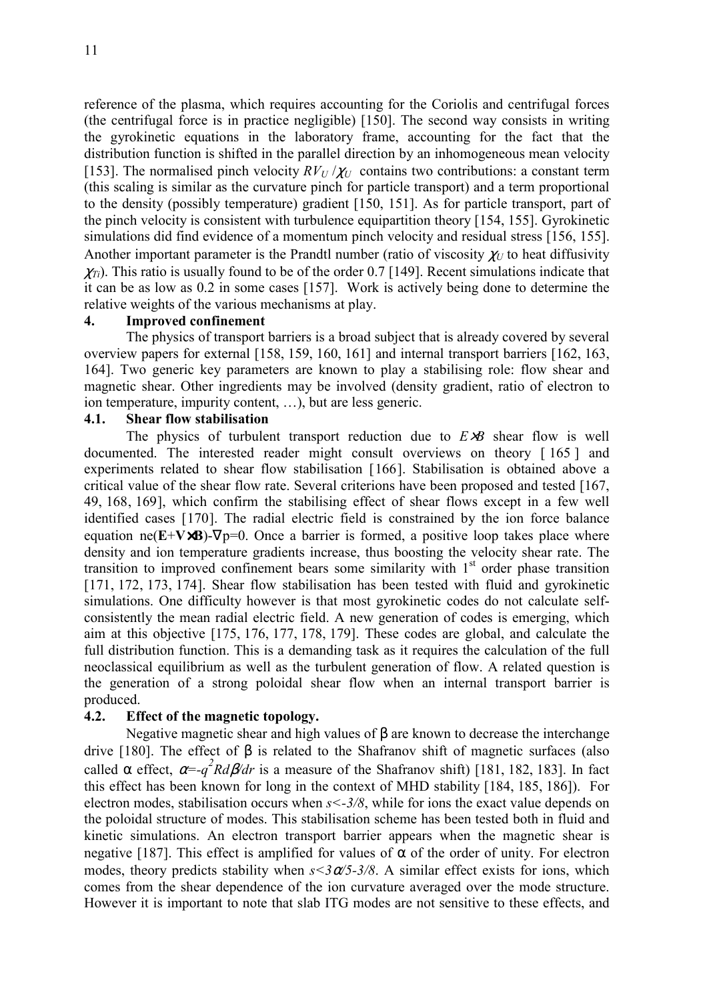reference of the plasma, which requires accounting for the Coriolis and centrifugal forces (the centrifugal force is in practice negligible) [150]. The second way consists in writing the gyrokinetic equations in the laboratory frame, accounting for the fact that the distribution function is shifted in the parallel direction by an inhomogeneous mean velocity [153]. The normalised pinch velocity  $RV_U/\chi_U$  contains two contributions: a constant term (this scaling is similar as the curvature pinch for particle transport) and a term proportional to the density (possibly temperature) gradient [150, 151]. As for particle transport, part of the pinch velocity is consistent with turbulence equipartition theory [154, 155]. Gyrokinetic simulations did find evidence of a momentum pinch velocity and residual stress [156, 155]. Another important parameter is the Prandtl number (ratio of viscosity  $\chi_U$  to heat diffusivity  $\chi_{Ti}$ ). This ratio is usually found to be of the order 0.7 [149]. Recent simulations indicate that it can be as low as 0.2 in some cases [157]. Work is actively being done to determine the relative weights of the various mechanisms at play.

#### 4. Improved confinement

 The physics of transport barriers is a broad subject that is already covered by several overview papers for external [158, 159, 160, 161] and internal transport barriers [162, 163, 164]. Two generic key parameters are known to play a stabilising role: flow shear and magnetic shear. Other ingredients may be involved (density gradient, ratio of electron to ion temperature, impurity content, …), but are less generic.

## 4.1. Shear flow stabilisation

The physics of turbulent transport reduction due to  $E \times B$  shear flow is well documented. The interested reader might consult overviews on theory [ 165 ] and experiments related to shear flow stabilisation [166]. Stabilisation is obtained above a critical value of the shear flow rate. Several criterions have been proposed and tested [167, 49, 168, 169], which confirm the stabilising effect of shear flows except in a few well identified cases [170]. The radial electric field is constrained by the ion force balance equation ne( $E+V\times B$ )- $\nabla p=0$ . Once a barrier is formed, a positive loop takes place where density and ion temperature gradients increase, thus boosting the velocity shear rate. The transition to improved confinement bears some similarity with  $1<sup>st</sup>$  order phase transition [171, 172, 173, 174]. Shear flow stabilisation has been tested with fluid and gyrokinetic simulations. One difficulty however is that most gyrokinetic codes do not calculate selfconsistently the mean radial electric field. A new generation of codes is emerging, which aim at this objective [175, 176, 177, 178, 179]. These codes are global, and calculate the full distribution function. This is a demanding task as it requires the calculation of the full neoclassical equilibrium as well as the turbulent generation of flow. A related question is the generation of a strong poloidal shear flow when an internal transport barrier is produced.

#### 4.2. Effect of the magnetic topology.

 Negative magnetic shear and high values of β are known to decrease the interchange drive [180]. The effect of β is related to the Shafranov shift of magnetic surfaces (also called  $\alpha$  effect,  $\alpha = -q^2 R d\beta/dr$  is a measure of the Shafranov shift) [181, 182, 183]. In fact this effect has been known for long in the context of MHD stability [184, 185, 186]). For electron modes, stabilisation occurs when  $s < -3/8$ , while for ions the exact value depends on the poloidal structure of modes. This stabilisation scheme has been tested both in fluid and kinetic simulations. An electron transport barrier appears when the magnetic shear is negative [187]. This effect is amplified for values of  $\alpha$  of the order of unity. For electron modes, theory predicts stability when  $s < 3\alpha/5 - 3/8$ . A similar effect exists for ions, which comes from the shear dependence of the ion curvature averaged over the mode structure. However it is important to note that slab ITG modes are not sensitive to these effects, and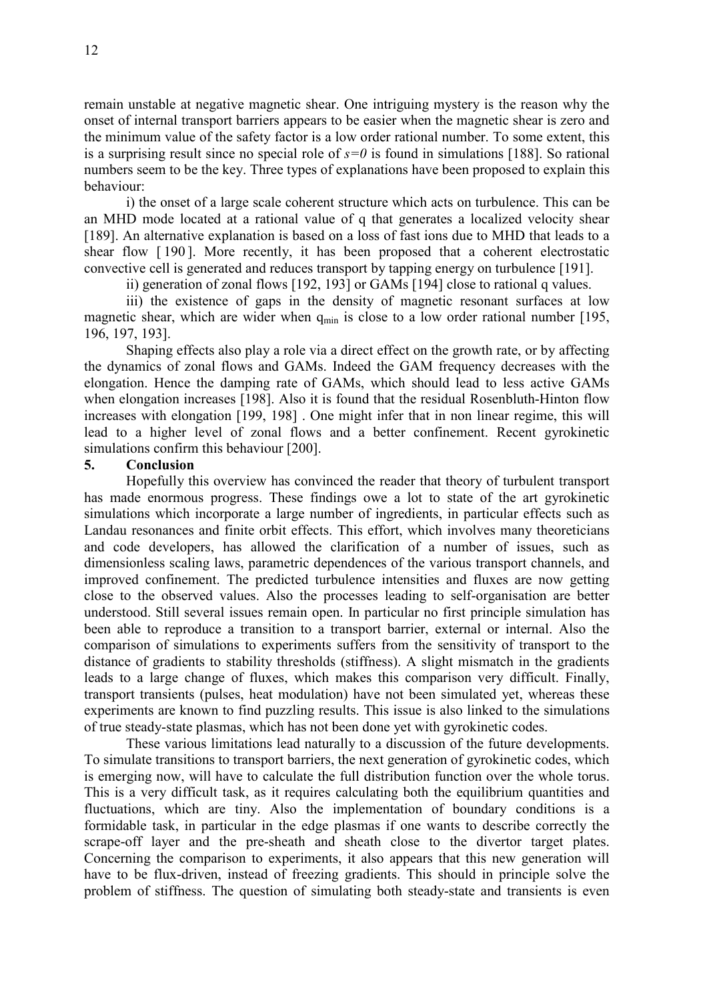remain unstable at negative magnetic shear. One intriguing mystery is the reason why the onset of internal transport barriers appears to be easier when the magnetic shear is zero and the minimum value of the safety factor is a low order rational number. To some extent, this is a surprising result since no special role of  $s=0$  is found in simulations [188]. So rational numbers seem to be the key. Three types of explanations have been proposed to explain this behaviour:

 i) the onset of a large scale coherent structure which acts on turbulence. This can be an MHD mode located at a rational value of q that generates a localized velocity shear [189]. An alternative explanation is based on a loss of fast ions due to MHD that leads to a shear flow [ 190 ]. More recently, it has been proposed that a coherent electrostatic convective cell is generated and reduces transport by tapping energy on turbulence [191].

ii) generation of zonal flows [192, 193] or GAMs [194] close to rational q values.

 iii) the existence of gaps in the density of magnetic resonant surfaces at low magnetic shear, which are wider when  $q_{min}$  is close to a low order rational number [195, 196, 197, 193].

 Shaping effects also play a role via a direct effect on the growth rate, or by affecting the dynamics of zonal flows and GAMs. Indeed the GAM frequency decreases with the elongation. Hence the damping rate of GAMs, which should lead to less active GAMs when elongation increases [198]. Also it is found that the residual Rosenbluth-Hinton flow increases with elongation [199, 198] . One might infer that in non linear regime, this will lead to a higher level of zonal flows and a better confinement. Recent gyrokinetic simulations confirm this behaviour [200].

#### 5. Conclusion

 Hopefully this overview has convinced the reader that theory of turbulent transport has made enormous progress. These findings owe a lot to state of the art gyrokinetic simulations which incorporate a large number of ingredients, in particular effects such as Landau resonances and finite orbit effects. This effort, which involves many theoreticians and code developers, has allowed the clarification of a number of issues, such as dimensionless scaling laws, parametric dependences of the various transport channels, and improved confinement. The predicted turbulence intensities and fluxes are now getting close to the observed values. Also the processes leading to self-organisation are better understood. Still several issues remain open. In particular no first principle simulation has been able to reproduce a transition to a transport barrier, external or internal. Also the comparison of simulations to experiments suffers from the sensitivity of transport to the distance of gradients to stability thresholds (stiffness). A slight mismatch in the gradients leads to a large change of fluxes, which makes this comparison very difficult. Finally, transport transients (pulses, heat modulation) have not been simulated yet, whereas these experiments are known to find puzzling results. This issue is also linked to the simulations of true steady-state plasmas, which has not been done yet with gyrokinetic codes.

 These various limitations lead naturally to a discussion of the future developments. To simulate transitions to transport barriers, the next generation of gyrokinetic codes, which is emerging now, will have to calculate the full distribution function over the whole torus. This is a very difficult task, as it requires calculating both the equilibrium quantities and fluctuations, which are tiny. Also the implementation of boundary conditions is a formidable task, in particular in the edge plasmas if one wants to describe correctly the scrape-off layer and the pre-sheath and sheath close to the divertor target plates. Concerning the comparison to experiments, it also appears that this new generation will have to be flux-driven, instead of freezing gradients. This should in principle solve the problem of stiffness. The question of simulating both steady-state and transients is even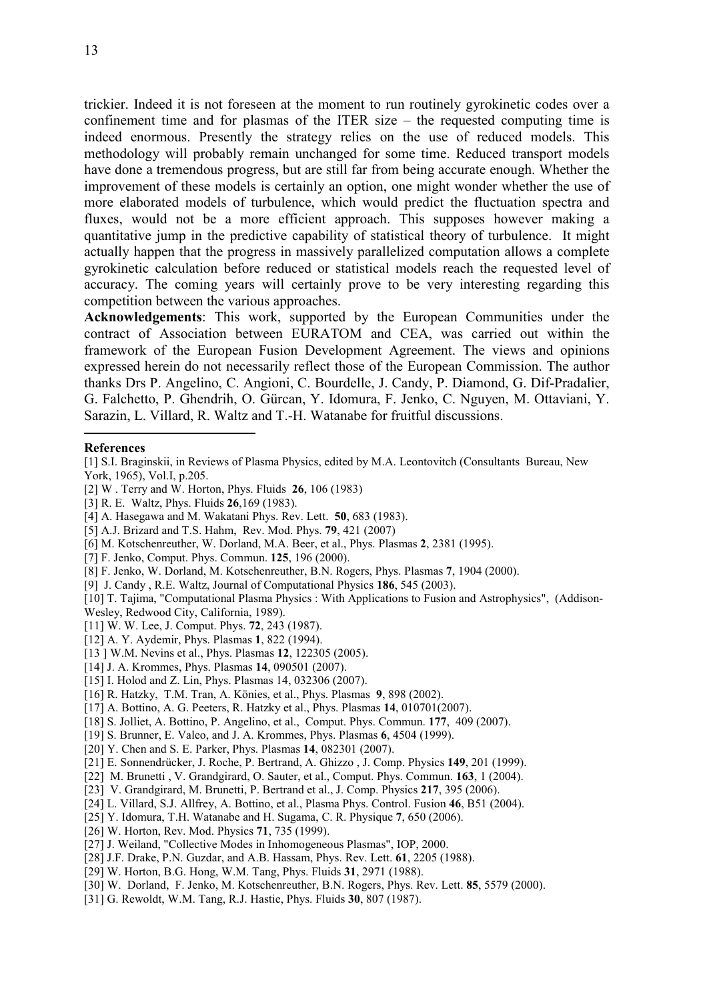trickier. Indeed it is not foreseen at the moment to run routinely gyrokinetic codes over a confinement time and for plasmas of the ITER size – the requested computing time is indeed enormous. Presently the strategy relies on the use of reduced models. This methodology will probably remain unchanged for some time. Reduced transport models have done a tremendous progress, but are still far from being accurate enough. Whether the improvement of these models is certainly an option, one might wonder whether the use of more elaborated models of turbulence, which would predict the fluctuation spectra and fluxes, would not be a more efficient approach. This supposes however making a quantitative jump in the predictive capability of statistical theory of turbulence. It might actually happen that the progress in massively parallelized computation allows a complete gyrokinetic calculation before reduced or statistical models reach the requested level of accuracy. The coming years will certainly prove to be very interesting regarding this competition between the various approaches.

Acknowledgements: This work, supported by the European Communities under the contract of Association between EURATOM and CEA, was carried out within the framework of the European Fusion Development Agreement. The views and opinions expressed herein do not necessarily reflect those of the European Commission. The author thanks Drs P. Angelino, C. Angioni, C. Bourdelle, J. Candy, P. Diamond, G. Dif-Pradalier, G. Falchetto, P. Ghendrih, O. Gürcan, Y. Idomura, F. Jenko, C. Nguyen, M. Ottaviani, Y. Sarazin, L. Villard, R. Waltz and T.-H. Watanabe for fruitful discussions.

#### References

 $\overline{a}$ 

- [2] W . Terry and W. Horton, Phys. Fluids 26, 106 (1983)
- [3] R. E. Waltz, Phys. Fluids 26,169 (1983).
- [4] A. Hasegawa and M. Wakatani Phys. Rev. Lett. 50, 683 (1983).
- [5] A.J. Brizard and T.S. Hahm, Rev. Mod. Phys. 79, 421 (2007)
- [6] M. Kotschenreuther, W. Dorland, M.A. Beer, et al., Phys. Plasmas 2, 2381 (1995).
- [7] F. Jenko, Comput. Phys. Commun. 125, 196 (2000).
- [8] F. Jenko, W. Dorland, M. Kotschenreuther, B.N. Rogers, Phys. Plasmas 7, 1904 (2000).
- [9] J. Candy , R.E. Waltz, Journal of Computational Physics 186, 545 (2003).
- [10] T. Tajima, "Computational Plasma Physics : With Applications to Fusion and Astrophysics", (Addison-Wesley, Redwood City, California, 1989).
- [11] W. W. Lee, J. Comput. Phys. **72**, 243 (1987).
- [12] A. Y. Aydemir, Phys. Plasmas 1, 822 (1994).
- [13 ] W.M. Nevins et al., Phys. Plasmas 12, 122305 (2005).
- [14] J. A. Krommes, Phys. Plasmas 14, 090501 (2007).
- [15] I. Holod and Z. Lin, *Phys. Plasmas* 14, 032306 (2007).
- [16] R. Hatzky, T.M. Tran, A. Könies, et al., Phys. Plasmas 9, 898 (2002).
- [17] A. Bottino, A. G. Peeters, R. Hatzky et al., Phys. Plasmas 14, 010701(2007).
- [18] S. Jolliet, A. Bottino, P. Angelino, et al., Comput. Phys. Commun. 177, 409 (2007).
- [19] S. Brunner, E. Valeo, and J. A. Krommes, Phys. Plasmas 6, 4504 (1999).
- [20] Y. Chen and S. E. Parker, Phys. Plasmas 14, 082301 (2007).
- [21] E. Sonnendrücker, J. Roche, P. Bertrand, A. Ghizzo , J. Comp. Physics 149, 201 (1999).
- [22] M. Brunetti , V. Grandgirard, O. Sauter, et al., Comput. Phys. Commun. 163, 1 (2004).
- [23] V. Grandgirard, M. Brunetti, P. Bertrand et al., J. Comp. Physics 217, 395 (2006).
- [24] L. Villard, S.J. Allfrey, A. Bottino, et al., Plasma Phys. Control. Fusion 46, B51 (2004).
- [25] Y. Idomura, T.H. Watanabe and H. Sugama, C. R. Physique 7, 650 (2006).
- [26] W. Horton, Rev. Mod. Physics 71, 735 (1999).
- [27] J. Weiland, "Collective Modes in Inhomogeneous Plasmas", IOP, 2000.
- [28] J.F. Drake, P.N. Guzdar, and A.B. Hassam, Phys. Rev. Lett. **61**, 2205 (1988).
- [29] W. Horton, B.G. Hong, W.M. Tang, Phys. Fluids 31, 2971 (1988).
- [30] W. Dorland, F. Jenko, M. Kotschenreuther, B.N. Rogers, Phys. Rev. Lett. 85, 5579 (2000).
- [31] G. Rewoldt, W.M. Tang, R.J. Hastie, Phys. Fluids 30, 807 (1987).

<sup>[1]</sup> S.I. Braginskii, in Reviews of Plasma Physics, edited by M.A. Leontovitch (Consultants Bureau, New York, 1965), Vol.I, p.205.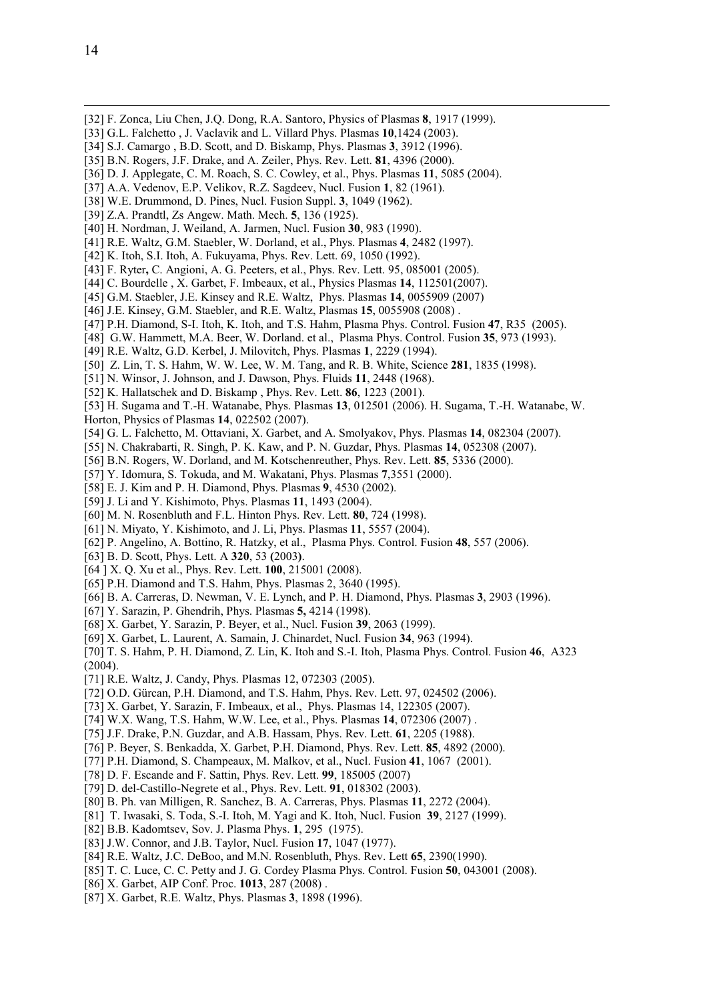-

- [32] F. Zonca, Liu Chen, J.Q. Dong, R.A. Santoro, Physics of Plasmas 8, 1917 (1999).
- [33] G.L. Falchetto, J. Vaclavik and L. Villard Phys. Plasmas 10,1424 (2003).
- [34] S.J. Camargo, B.D. Scott, and D. Biskamp, Phys. Plasmas 3, 3912 (1996).
- [35] B.N. Rogers, J.F. Drake, and A. Zeiler, Phys. Rev. Lett. **81**, 4396 (2000).
- [36] D. J. Applegate, C. M. Roach, S. C. Cowley, et al., Phys. Plasmas 11, 5085 (2004).
- [37] A.A. Vedenov, E.P. Velikov, R.Z. Sagdeev, Nucl. Fusion 1, 82 (1961).
- [38] W.E. Drummond, D. Pines, Nucl. Fusion Suppl. 3, 1049 (1962).
- [39] Z.A. Prandtl, Zs Angew. Math. Mech. 5, 136 (1925).
- [40] H. Nordman, J. Weiland, A. Jarmen, Nucl. Fusion 30, 983 (1990).
- [41] R.E. Waltz, G.M. Staebler, W. Dorland, et al., Phys. Plasmas 4, 2482 (1997).
- [42] K. Itoh, S.I. Itoh, A. Fukuyama, Phys. Rev. Lett. 69, 1050 (1992).
- [43] F. Ryter, C. Angioni, A. G. Peeters, et al., Phys. Rev. Lett. 95, 085001 (2005).
- [44] C. Bourdelle , X. Garbet, F. Imbeaux, et al., Physics Plasmas 14, 112501(2007).
- [45] G.M. Staebler, J.E. Kinsey and R.E. Waltz, Phys. Plasmas 14, 0055909 (2007)
- [46] J.E. Kinsey, G.M. Staebler, and R.E. Waltz, Plasmas 15, 0055908 (2008).
- [47] P.H. Diamond, S-I. Itoh, K. Itoh, and T.S. Hahm, Plasma Phys. Control. Fusion 47, R35 (2005).
- [48] G.W. Hammett, M.A. Beer, W. Dorland. et al., Plasma Phys. Control. Fusion 35, 973 (1993).
- [49] R.E. Waltz, G.D. Kerbel, J. Milovitch, Phys. Plasmas 1, 2229 (1994).
- [50] Z. Lin, T. S. Hahm, W. W. Lee, W. M. Tang, and R. B. White, Science 281, 1835 (1998).
- [51] N. Winsor, J. Johnson, and J. Dawson, Phys. Fluids 11, 2448 (1968).
- [52] K. Hallatschek and D. Biskamp, Phys. Rev. Lett. **86**, 1223 (2001).
- [53] H. Sugama and T.-H. Watanabe, Phys. Plasmas 13, 012501 (2006). H. Sugama, T.-H. Watanabe, W.
- Horton, Physics of Plasmas 14, 022502 (2007).
- [54] G. L. Falchetto, M. Ottaviani, X. Garbet, and A. Smolyakov, Phys. Plasmas 14, 082304 (2007).
- [55] N. Chakrabarti, R. Singh, P. K. Kaw, and P. N. Guzdar, Phys. Plasmas 14, 052308 (2007).
- [56] B.N. Rogers, W. Dorland, and M. Kotschenreuther, Phys. Rev. Lett. 85, 5336 (2000).
- [57] Y. Idomura, S. Tokuda, and M. Wakatani, Phys. Plasmas 7,3551 (2000).
- [58] E. J. Kim and P. H. Diamond, Phys. Plasmas 9, 4530 (2002).
- [59] J. Li and Y. Kishimoto, Phys. Plasmas 11, 1493 (2004).
- [60] M. N. Rosenbluth and F.L. Hinton Phys. Rev. Lett. **80**, 724 (1998).
- [61] N. Miyato, Y. Kishimoto, and J. Li, Phys. Plasmas 11, 5557 (2004).
- [62] P. Angelino, A. Bottino, R. Hatzky, et al., Plasma Phys. Control. Fusion 48, 557 (2006).
- [63] B. D. Scott, Phys. Lett. A **320**, 53 (2003).
- [64 ] X. O. Xu et al., Phys. Rev. Lett. **100**, 215001 (2008).
- [65] P.H. Diamond and T.S. Hahm, Phys. Plasmas 2, 3640 (1995).
- [66] B. A. Carreras, D. Newman, V. E. Lynch, and P. H. Diamond, Phys. Plasmas 3, 2903 (1996).
- [67] Y. Sarazin, P. Ghendrih, Phys. Plasmas 5, 4214 (1998).
- [68] X. Garbet, Y. Sarazin, P. Beyer, et al., Nucl. Fusion 39, 2063 (1999).
- [69] X. Garbet, L. Laurent, A. Samain, J. Chinardet, Nucl. Fusion 34, 963 (1994).
- [70] T. S. Hahm, P. H. Diamond, Z. Lin, K. Itoh and S.-I. Itoh, Plasma Phys. Control. Fusion 46, A323 (2004).
- [71] R.E. Waltz, J. Candy, Phys. Plasmas 12, 072303 (2005).
- [72] O.D. Gürcan, P.H. Diamond, and T.S. Hahm, Phys. Rev. Lett. 97, 024502 (2006).
- [73] X. Garbet, Y. Sarazin, F. Imbeaux, et al., Phys. Plasmas 14, 122305 (2007).
- [74] W.X. Wang, T.S. Hahm, W.W. Lee, et al., Phys. Plasmas 14, 072306 (2007).
- [75] J.F. Drake, P.N. Guzdar, and A.B. Hassam, Phys. Rev. Lett. 61, 2205 (1988).
- [76] P. Beyer, S. Benkadda, X. Garbet, P.H. Diamond, Phys. Rev. Lett. 85, 4892 (2000).
- [77] P.H. Diamond, S. Champeaux, M. Malkov, et al., Nucl. Fusion 41, 1067 (2001).
- [78] D. F. Escande and F. Sattin, Phys. Rev. Lett. 99, 185005 (2007)
- [79] D. del-Castillo-Negrete et al., Phys. Rev. Lett. 91, 018302 (2003).
- [80] B. Ph. van Milligen, R. Sanchez, B. A. Carreras, Phys. Plasmas 11, 2272 (2004).
- [81] T. Iwasaki, S. Toda, S.-I. Itoh, M. Yagi and K. Itoh, Nucl. Fusion 39, 2127 (1999).
- [82] B.B. Kadomtsev, Sov. J. Plasma Phys. 1, 295 (1975).
- [83] J.W. Connor, and J.B. Taylor, Nucl. Fusion 17, 1047 (1977).
- [84] R.E. Waltz, J.C. DeBoo, and M.N. Rosenbluth, Phys. Rev. Lett **65**, 2390(1990).
- [85] T. C. Luce, C. C. Petty and J. G. Cordey Plasma Phys. Control. Fusion 50, 043001 (2008).
- [86] X. Garbet, AIP Conf. Proc. 1013, 287 (2008).
- [87] X. Garbet, R.E. Waltz, Phys. Plasmas 3, 1898 (1996).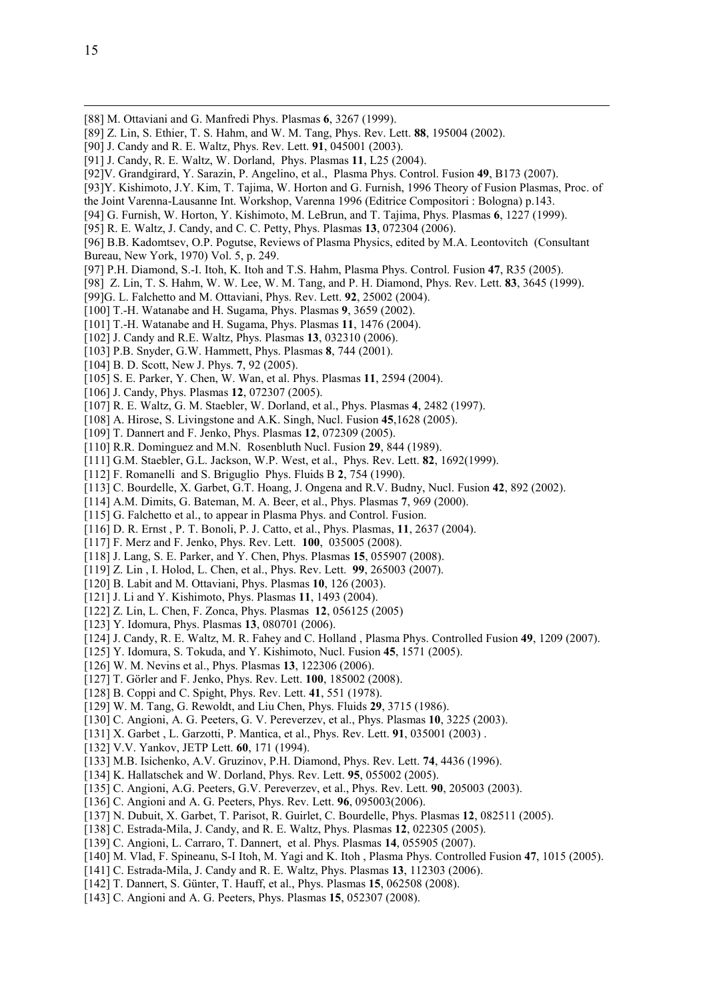-

- [88] M. Ottaviani and G. Manfredi Phys. Plasmas 6, 3267 (1999).
- [89] Z. Lin, S. Ethier, T. S. Hahm, and W. M. Tang, Phys. Rev. Lett. 88, 195004 (2002).
- [90] J. Candy and R. E. Waltz, Phys. Rev. Lett. 91, 045001 (2003).
- [91] J. Candy, R. E. Waltz, W. Dorland, Phys. Plasmas 11, L25 (2004).
- [92]V. Grandgirard, Y. Sarazin, P. Angelino, et al., Plasma Phys. Control. Fusion 49, B173 (2007).
- [93]Y. Kishimoto, J.Y. Kim, T. Tajima, W. Horton and G. Furnish, 1996 Theory of Fusion Plasmas, Proc. of
- the Joint Varenna-Lausanne Int. Workshop, Varenna 1996 (Editrice Compositori : Bologna) p.143.
- [94] G. Furnish, W. Horton, Y. Kishimoto, M. LeBrun, and T. Tajima, Phys. Plasmas 6, 1227 (1999).
- [95] R. E. Waltz, J. Candy, and C. C. Petty, Phys. Plasmas 13, 072304 (2006).

[96] B.B. Kadomtsev, O.P. Pogutse, Reviews of Plasma Physics, edited by M.A. Leontovitch (Consultant Bureau, New York, 1970) Vol. 5, p. 249.

- [97] P.H. Diamond, S.-I. Itoh, K. Itoh and T.S. Hahm, Plasma Phys. Control. Fusion 47, R35 (2005).
- [98] Z. Lin, T. S. Hahm, W. W. Lee, W. M. Tang, and P. H. Diamond, Phys. Rev. Lett. 83, 3645 (1999).
- [99]G. L. Falchetto and M. Ottaviani, Phys. Rev. Lett. 92, 25002 (2004).
- [100] T.-H. Watanabe and H. Sugama, Phys. Plasmas 9, 3659 (2002).
- [101] T.-H. Watanabe and H. Sugama, Phys. Plasmas 11, 1476 (2004).
- [102] J. Candy and R.E. Waltz, Phys. Plasmas 13, 032310 (2006).
- [103] P.B. Snyder, G.W. Hammett, Phys. Plasmas 8, 744 (2001).
- [104] B. D. Scott, New J. Phys. 7, 92 (2005).
- [105] S. E. Parker, Y. Chen, W. Wan, et al. Phys. Plasmas 11, 2594 (2004).
- [106] J. Candy, Phys. Plasmas 12, 072307 (2005).
- [107] R. E. Waltz, G. M. Staebler, W. Dorland, et al., Phys. Plasmas 4, 2482 (1997).
- [108] A. Hirose, S. Livingstone and A.K. Singh, Nucl. Fusion 45,1628 (2005).
- [109] T. Dannert and F. Jenko, Phys. Plasmas 12, 072309 (2005).
- [110] R.R. Dominguez and M.N. Rosenbluth Nucl. Fusion 29, 844 (1989).
- [111] G.M. Staebler, G.L. Jackson, W.P. West, et al., Phys. Rev. Lett. 82, 1692(1999).
- [112] F. Romanelli and S. Briguglio Phys. Fluids B 2, 754 (1990).
- [113] C. Bourdelle, X. Garbet, G.T. Hoang, J. Ongena and R.V. Budny, Nucl. Fusion 42, 892 (2002).
- [114] A.M. Dimits, G. Bateman, M. A. Beer, et al., Phys. Plasmas 7, 969 (2000).
- [115] G. Falchetto et al., to appear in Plasma Phys. and Control. Fusion.
- [116] D. R. Ernst, P. T. Bonoli, P. J. Catto, et al., Phys. Plasmas, 11, 2637 (2004).
- [117] F. Merz and F. Jenko, Phys. Rev. Lett. 100, 035005 (2008).
- [118] J. Lang, S. E. Parker, and Y. Chen, Phys. Plasmas 15, 055907 (2008).
- [119] Z. Lin, I. Holod, L. Chen, et al., Phys. Rev. Lett. 99, 265003 (2007).
- [120] B. Labit and M. Ottaviani, Phys. Plasmas 10, 126 (2003).
- [121] J. Li and Y. Kishimoto, Phys. Plasmas 11, 1493 (2004).
- [122] Z. Lin, L. Chen, F. Zonca, Phys. Plasmas 12, 056125 (2005)
- [123] Y. Idomura, Phys. Plasmas 13, 080701 (2006).
- [124] J. Candy, R. E. Waltz, M. R. Fahey and C. Holland , Plasma Phys. Controlled Fusion 49, 1209 (2007).
- [125] Y. Idomura, S. Tokuda, and Y. Kishimoto, Nucl. Fusion 45, 1571 (2005).
- [126] W. M. Nevins et al., Phys. Plasmas 13, 122306 (2006).
- [127] T. Görler and F. Jenko, Phys. Rev. Lett. **100**, 185002 (2008).
- [128] B. Coppi and C. Spight, Phys. Rev. Lett. 41, 551 (1978).
- [129] W. M. Tang, G. Rewoldt, and Liu Chen, Phys. Fluids 29, 3715 (1986).
- [130] C. Angioni, A. G. Peeters, G. V. Pereverzev, et al., Phys. Plasmas 10, 3225 (2003).
- [131] X. Garbet , L. Garzotti, P. Mantica, et al., Phys. Rev. Lett. 91, 035001 (2003).
- [132] V.V. Yankov, JETP Lett. **60**, 171 (1994).
- [133] M.B. Isichenko, A.V. Gruzinov, P.H. Diamond, Phys. Rev. Lett. 74, 4436 (1996).
- [134] K. Hallatschek and W. Dorland, Phys. Rev. Lett. **95**, 055002 (2005).
- [135] C. Angioni, A.G. Peeters, G.V. Pereverzev, et al., Phys. Rev. Lett. 90, 205003 (2003).
- [136] C. Angioni and A. G. Peeters, Phys. Rev. Lett. **96**, 095003(2006).
- [137] N. Dubuit, X. Garbet, T. Parisot, R. Guirlet, C. Bourdelle, Phys. Plasmas 12, 082511 (2005).
- [138] C. Estrada-Mila, J. Candy, and R. E. Waltz, Phys. Plasmas 12, 022305 (2005).
- [139] C. Angioni, L. Carraro, T. Dannert, et al. Phys. Plasmas 14, 055905 (2007).
- [140] M. Vlad, F. Spineanu, S-I Itoh, M. Yagi and K. Itoh , Plasma Phys. Controlled Fusion 47, 1015 (2005).
- [141] C. Estrada-Mila, J. Candy and R. E. Waltz, Phys. Plasmas 13, 112303 (2006).
- [142] T. Dannert, S. Günter, T. Hauff, et al., Phys. Plasmas **15**, 062508 (2008).
- [143] C. Angioni and A. G. Peeters, Phys. Plasmas 15, 052307 (2008).